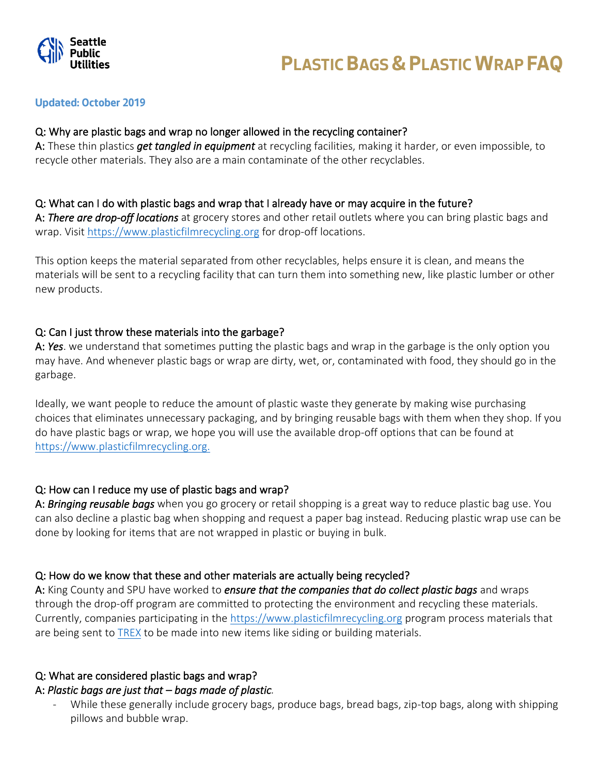

## **Updated: October 2019**

## Q: Why are plastic bags and wrap no longer allowed in the recycling container?

A: These thin plastics *get tangled in equipment* at recycling facilities, making it harder, or even impossible, to recycle other materials. They also are a main contaminate of the other recyclables.

## Q: What can I do with plastic bags and wrap that I already have or may acquire in the future?

A: *There are drop-off locations* at grocery stores and other retail outlets where you can bring plastic bags and wrap. Visit [https://www.plasticfilmrecycling.org](https://www.plasticfilmrecycling.org/) for drop-off locations.

This option keeps the material separated from other recyclables, helps ensure it is clean, and means the materials will be sent to a recycling facility that can turn them into something new, like plastic lumber or other new products.

## Q: Can I just throw these materials into the garbage?

A: *Yes*. we understand that sometimes putting the plastic bags and wrap in the garbage is the only option you may have. And whenever plastic bags or wrap are dirty, wet, or, contaminated with food, they should go in the garbage.

Ideally, we want people to reduce the amount of plastic waste they generate by making wise purchasing choices that eliminates unnecessary packaging, and by bringing reusable bags with them when they shop. If you do have plastic bags or wrap, we hope you will use the available drop-off options that can be found at [https://www.plasticfilmrecycling.org.](https://www.plasticfilmrecycling.org/)

# Q: How can I reduce my use of plastic bags and wrap?

A: *Bringing reusable bags* when you go grocery or retail shopping is a great way to reduce plastic bag use. You can also decline a plastic bag when shopping and request a paper bag instead. Reducing plastic wrap use can be done by looking for items that are not wrapped in plastic or buying in bulk.

# Q: How do we know that these and other materials are actually being recycled?

A: King County and SPU have worked to *ensure that the companies that do collect plastic bags* and wraps through the drop-off program are committed to protecting the environment and recycling these materials. Currently, companies participating in the [https://www.plasticfilmrecycling.org](https://www.plasticfilmrecycling.org/) program process materials that are being sent to [TREX](https://www.trex.com/recycling/recycling-programs/) to be made into new items like siding or building materials.

# Q: What are considered plastic bags and wrap?

# A: *Plastic bags are just that – bags made of plastic.*

While these generally include grocery bags, produce bags, bread bags, zip-top bags, along with shipping pillows and bubble wrap.